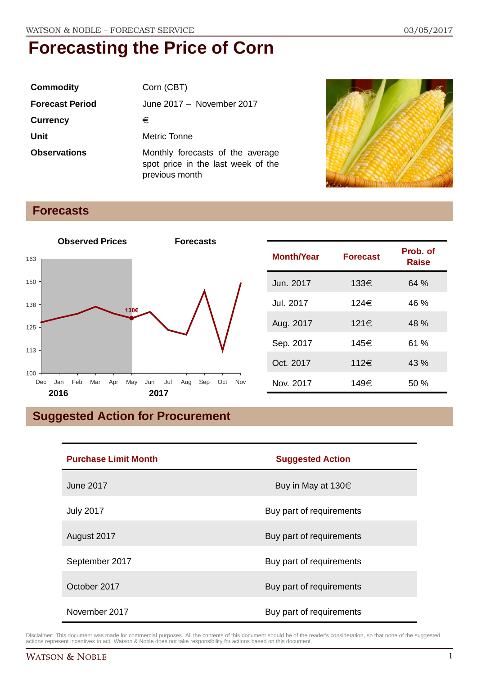| <b>Commodity</b>       | Corn (CBT)                                                                               |
|------------------------|------------------------------------------------------------------------------------------|
| <b>Forecast Period</b> | June 2017 - November 2017                                                                |
| <b>Currency</b>        | €                                                                                        |
| Unit                   | <b>Metric Tonne</b>                                                                      |
| <b>Observations</b>    | Monthly forecasts of the average<br>spot price in the last week of the<br>previous month |



### **Forecasts**



| <b>Month/Year</b> | <b>Forecast</b> | Prob. of<br>Raise |
|-------------------|-----------------|-------------------|
| Jun. 2017         | 133€            | 64%               |
| Jul. 2017         | 124€            | 46 %              |
| Aug. 2017         | 121€            | 48 %              |
| Sep. 2017         | 145€            | 61 %              |
| Oct. 2017         | 112€            | 43 %              |
| Nov. 2017         | 149€            | 50 %              |

## **Suggested Action for Procurement**

| <b>Purchase Limit Month</b> | <b>Suggested Action</b>  |  |
|-----------------------------|--------------------------|--|
| June 2017                   | Buy in May at $130 \in$  |  |
| <b>July 2017</b>            | Buy part of requirements |  |
| August 2017                 | Buy part of requirements |  |
| September 2017              | Buy part of requirements |  |
| October 2017                | Buy part of requirements |  |
| November 2017               | Buy part of requirements |  |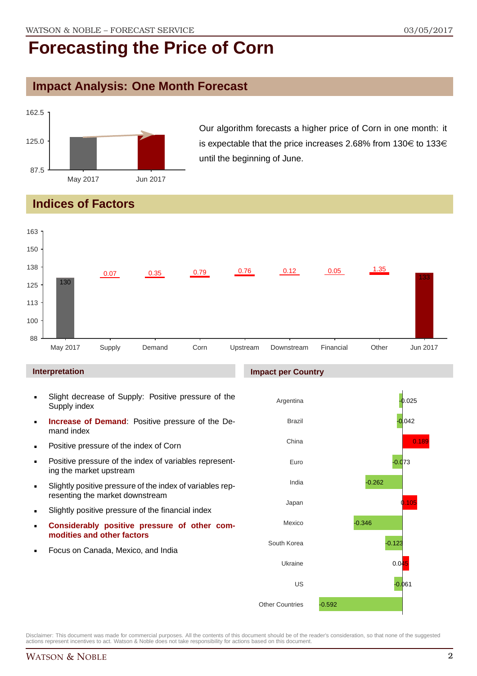#### **Impact Analysis: One Month Forecast**



Our algorithm forecasts a higher price of Corn in one month: it is expectable that the price increases 2.68% from  $130 \in \text{to } 133 \in \text{to } 133$ until the beginning of June.

### **Indices of Factors**



- Slight decrease of Supply: Positive pressure of the Supply index
- **Increase of Demand**: Positive pressure of the Demand index
- **Positive pressure of the index of Corn**
- **Positive pressure of the index of variables represent**ing the market upstream
- Slightly positive pressure of the index of variables representing the market downstream
- Slightly positive pressure of the financial index
- **Considerably positive pressure of other commodities and other factors**
- Focus on Canada, Mexico, and India

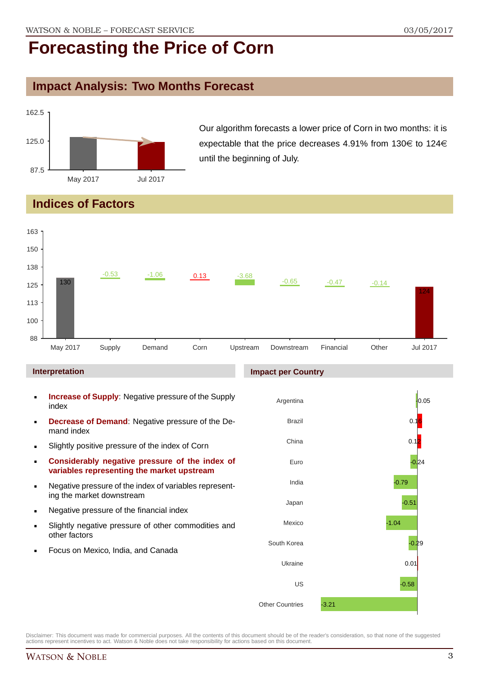#### **Impact Analysis: Two Months Forecast**



Our algorithm forecasts a lower price of Corn in two months: it is expectable that the price decreases 4.91% from 130 $\in$  to 124 $\in$ until the beginning of July.

### **Indices of Factors**

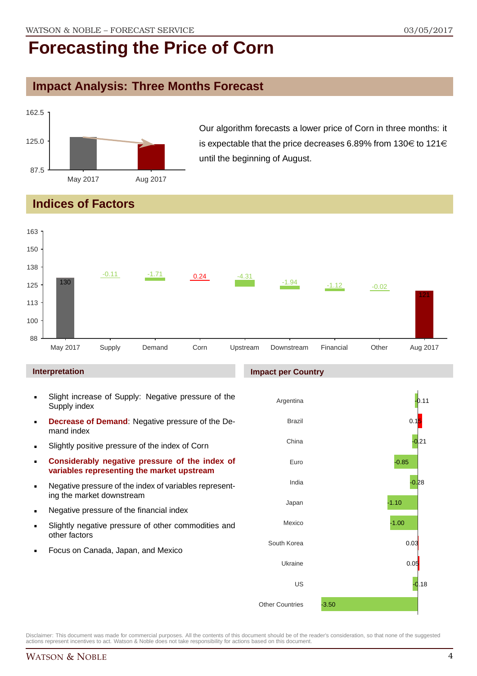#### **Impact Analysis: Three Months Forecast**



Our algorithm forecasts a lower price of Corn in three months: it is expectable that the price decreases 6.89% from 130 $\in$  to 121 $\in$ until the beginning of August.

### **Indices of Factors**

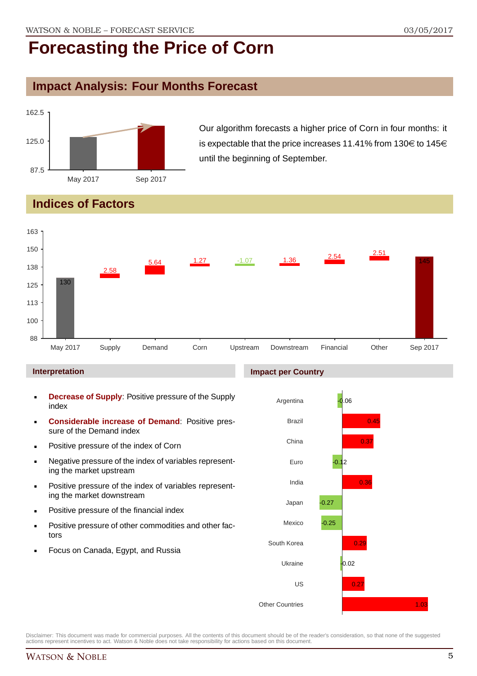#### **Impact Analysis: Four Months Forecast**



Our algorithm forecasts a higher price of Corn in four months: it is expectable that the price increases 11.41% from 130 $\in$  to 145 $\in$ until the beginning of September.

### **Indices of Factors**



#### **Interpretation**

- **Decrease of Supply**: Positive pressure of the Supply index
- **Considerable increase of Demand**: Positive pressure of the Demand index
- Positive pressure of the index of Corn
- Negative pressure of the index of variables representing the market upstream
- **Positive pressure of the index of variables represent**ing the market downstream
- **•** Positive pressure of the financial index
- **Positive pressure of other commodities and other fac**tors
- Focus on Canada, Egypt, and Russia

#### **Impact per Country**

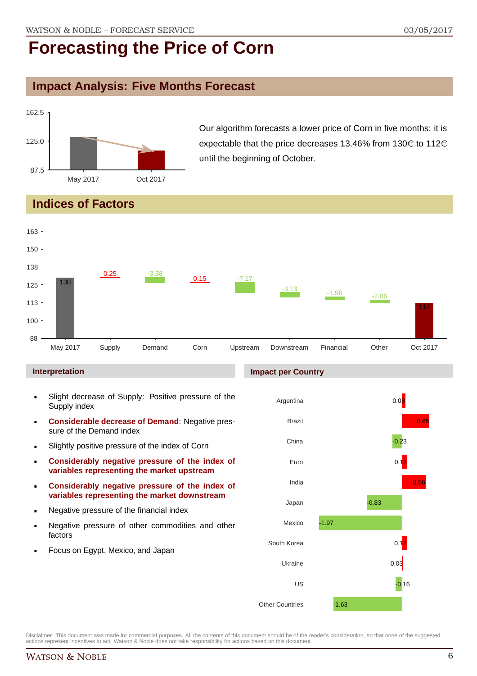#### **Impact Analysis: Five Months Forecast**



Our algorithm forecasts a lower price of Corn in five months: it is expectable that the price decreases 13.46% from 130 $\in$  to 112 $\in$ until the beginning of October.

### **Indices of Factors**



#### **Interpretation**

- Slight decrease of Supply: Positive pressure of the Supply index
- **Considerable decrease of Demand**: Negative pressure of the Demand index
- **Slightly positive pressure of the index of Corn**
- **Considerably negative pressure of the index of variables representing the market upstream**
- **Considerably negative pressure of the index of variables representing the market downstream**
- **Negative pressure of the financial index**
- **Negative pressure of other commodities and other** factors
- **Focus on Egypt, Mexico, and Japan**

#### **Impact per Country**

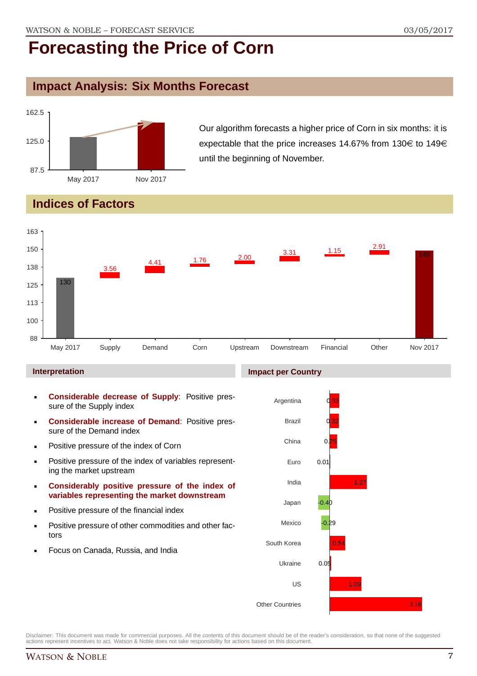#### **Impact Analysis: Six Months Forecast**



Our algorithm forecasts a higher price of Corn in six months: it is expectable that the price increases 14.67% from 130 $\in$  to 149 $\in$ until the beginning of November.

### **Indices of Factors**



#### **Interpretation**

- **Considerable decrease of Supply**: Positive pressure of the Supply index
- **Considerable increase of Demand**: Positive pressure of the Demand index
- **Positive pressure of the index of Corn**
- **Positive pressure of the index of variables represent**ing the market upstream
- **Considerably positive pressure of the index of variables representing the market downstream**
- **•** Positive pressure of the financial index
- **Positive pressure of other commodities and other fac**tors
- Focus on Canada, Russia, and India

#### **Impact per Country**

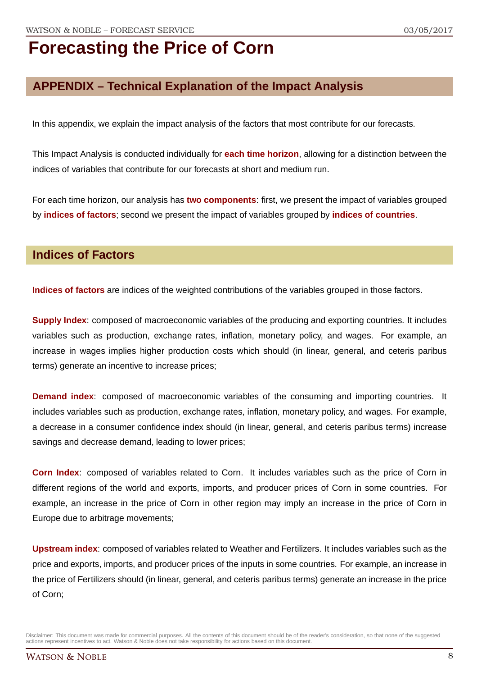### **APPENDIX – Technical Explanation of the Impact Analysis**

In this appendix, we explain the impact analysis of the factors that most contribute for our forecasts.

This Impact Analysis is conducted individually for **each time horizon**, allowing for a distinction between the indices of variables that contribute for our forecasts at short and medium run.

For each time horizon, our analysis has **two components**: first, we present the impact of variables grouped by **indices of factors**; second we present the impact of variables grouped by **indices of countries**.

#### **Indices of Factors**

**Indices of factors** are indices of the weighted contributions of the variables grouped in those factors.

**Supply Index**: composed of macroeconomic variables of the producing and exporting countries. It includes variables such as production, exchange rates, inflation, monetary policy, and wages. For example, an increase in wages implies higher production costs which should (in linear, general, and ceteris paribus terms) generate an incentive to increase prices;

**Demand index**: composed of macroeconomic variables of the consuming and importing countries. It includes variables such as production, exchange rates, inflation, monetary policy, and wages. For example, a decrease in a consumer confidence index should (in linear, general, and ceteris paribus terms) increase savings and decrease demand, leading to lower prices;

**Corn Index**: composed of variables related to Corn. It includes variables such as the price of Corn in different regions of the world and exports, imports, and producer prices of Corn in some countries. For example, an increase in the price of Corn in other region may imply an increase in the price of Corn in Europe due to arbitrage movements;

**Upstream index**: composed of variables related to Weather and Fertilizers. It includes variables such as the price and exports, imports, and producer prices of the inputs in some countries. For example, an increase in the price of Fertilizers should (in linear, general, and ceteris paribus terms) generate an increase in the price of Corn;